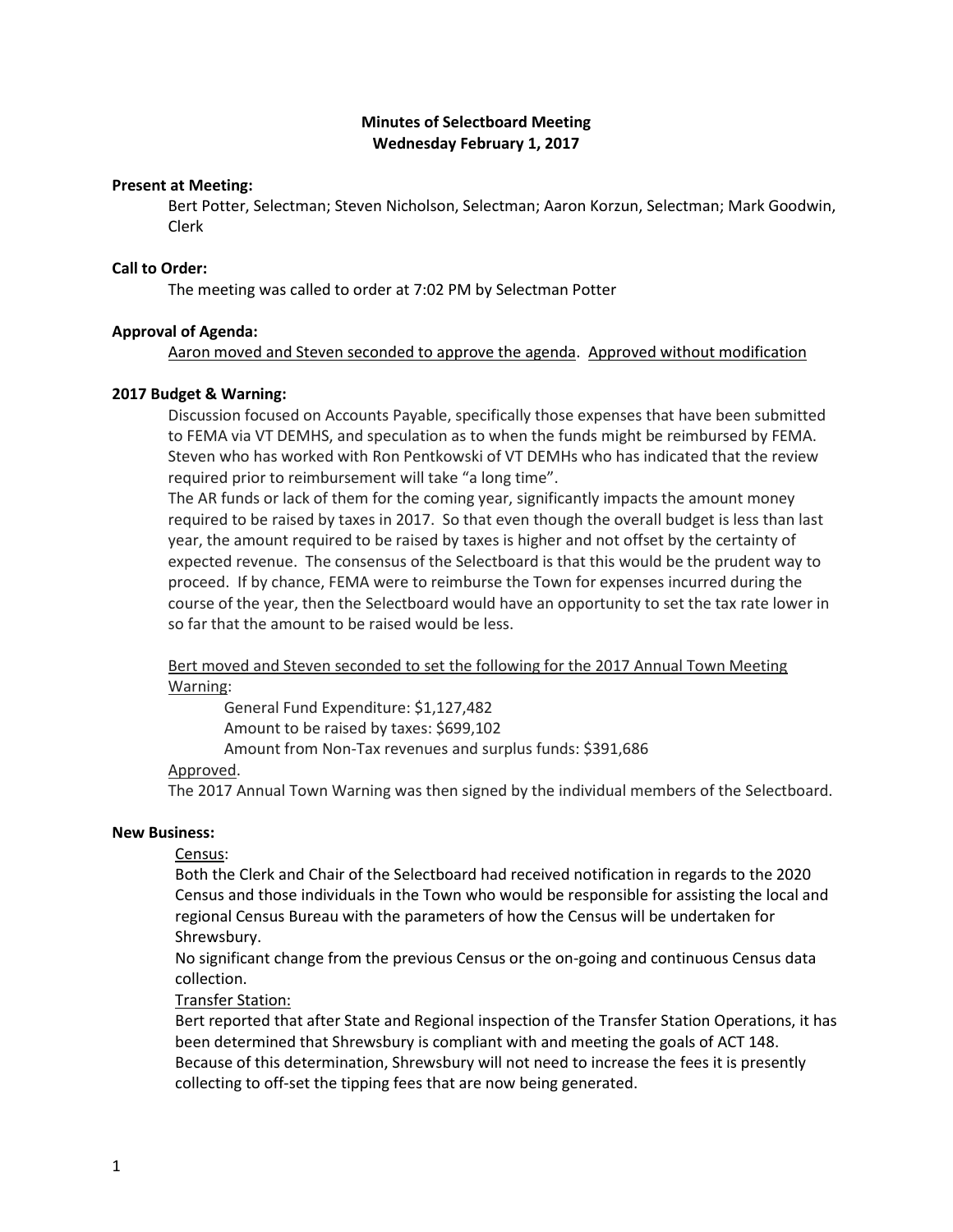# **Minutes of Selectboard Meeting Wednesday February 1, 2017**

# **Present at Meeting:**

Bert Potter, Selectman; Steven Nicholson, Selectman; Aaron Korzun, Selectman; Mark Goodwin, Clerk

## **Call to Order:**

The meeting was called to order at 7:02 PM by Selectman Potter

## **Approval of Agenda:**

Aaron moved and Steven seconded to approve the agenda. Approved without modification

# **2017 Budget & Warning:**

Discussion focused on Accounts Payable, specifically those expenses that have been submitted to FEMA via VT DEMHS, and speculation as to when the funds might be reimbursed by FEMA. Steven who has worked with Ron Pentkowski of VT DEMHs who has indicated that the review required prior to reimbursement will take "a long time".

The AR funds or lack of them for the coming year, significantly impacts the amount money required to be raised by taxes in 2017. So that even though the overall budget is less than last year, the amount required to be raised by taxes is higher and not offset by the certainty of expected revenue. The consensus of the Selectboard is that this would be the prudent way to proceed. If by chance, FEMA were to reimburse the Town for expenses incurred during the course of the year, then the Selectboard would have an opportunity to set the tax rate lower in so far that the amount to be raised would be less.

Bert moved and Steven seconded to set the following for the 2017 Annual Town Meeting Warning:

General Fund Expenditure: \$1,127,482

Amount to be raised by taxes: \$699,102

Amount from Non-Tax revenues and surplus funds: \$391,686

# Approved.

The 2017 Annual Town Warning was then signed by the individual members of the Selectboard.

# **New Business:**

Census:

Both the Clerk and Chair of the Selectboard had received notification in regards to the 2020 Census and those individuals in the Town who would be responsible for assisting the local and regional Census Bureau with the parameters of how the Census will be undertaken for Shrewsbury.

No significant change from the previous Census or the on-going and continuous Census data collection.

Transfer Station:

Bert reported that after State and Regional inspection of the Transfer Station Operations, it has been determined that Shrewsbury is compliant with and meeting the goals of ACT 148. Because of this determination, Shrewsbury will not need to increase the fees it is presently collecting to off-set the tipping fees that are now being generated.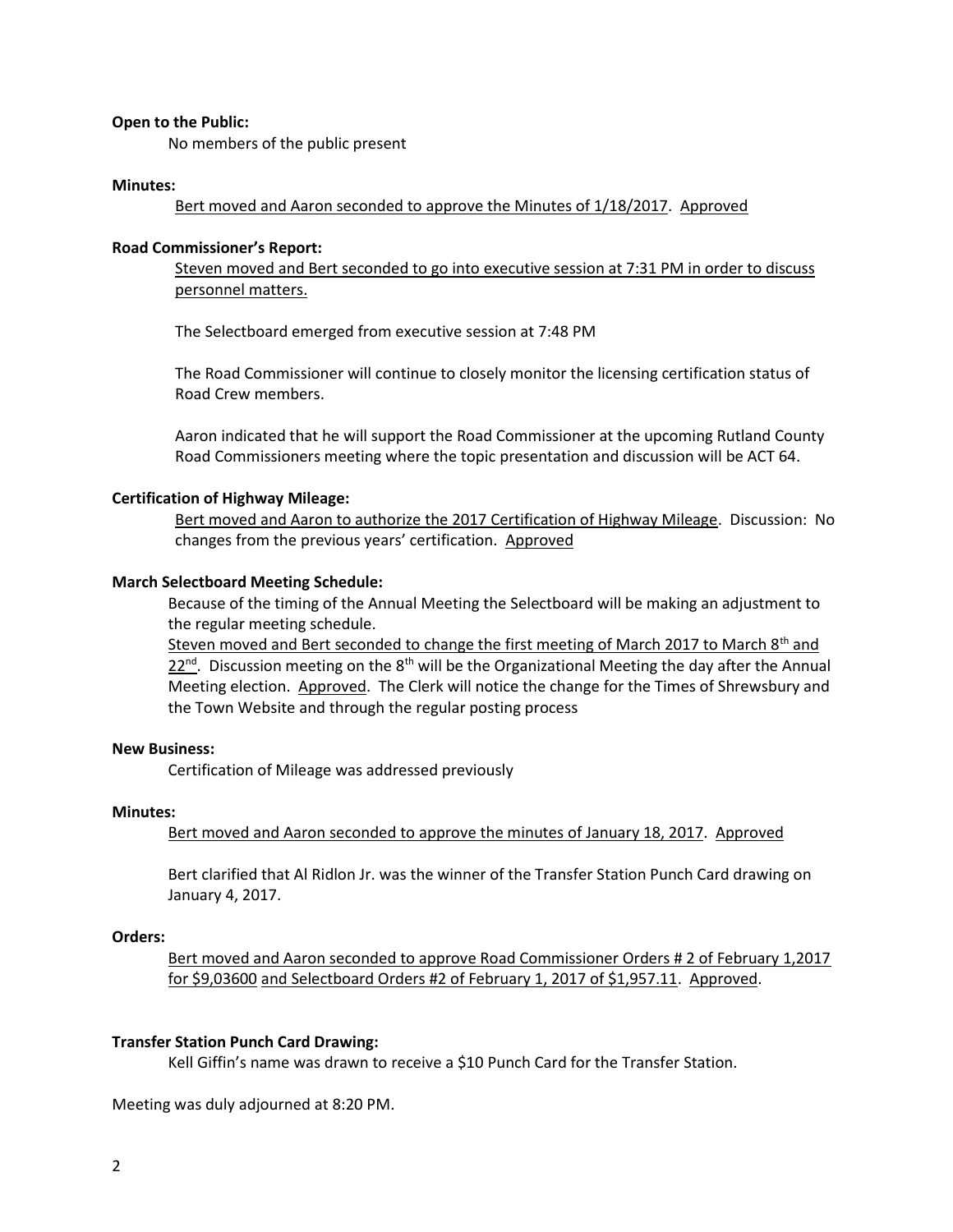### **Open to the Public:**

No members of the public present

#### **Minutes:**

Bert moved and Aaron seconded to approve the Minutes of 1/18/2017. Approved

# **Road Commissioner's Report:**

Steven moved and Bert seconded to go into executive session at 7:31 PM in order to discuss personnel matters.

The Selectboard emerged from executive session at 7:48 PM

The Road Commissioner will continue to closely monitor the licensing certification status of Road Crew members.

Aaron indicated that he will support the Road Commissioner at the upcoming Rutland County Road Commissioners meeting where the topic presentation and discussion will be ACT 64.

## **Certification of Highway Mileage:**

Bert moved and Aaron to authorize the 2017 Certification of Highway Mileage. Discussion: No changes from the previous years' certification. Approved

## **March Selectboard Meeting Schedule:**

Because of the timing of the Annual Meeting the Selectboard will be making an adjustment to the regular meeting schedule.

Steven moved and Bert seconded to change the first meeting of March 2017 to March 8<sup>th</sup> and  $22^{\text{nd}}$ . Discussion meeting on the 8<sup>th</sup> will be the Organizational Meeting the day after the Annual Meeting election. Approved. The Clerk will notice the change for the Times of Shrewsbury and the Town Website and through the regular posting process

# **New Business:**

Certification of Mileage was addressed previously

# **Minutes:**

Bert moved and Aaron seconded to approve the minutes of January 18, 2017. Approved

Bert clarified that Al Ridlon Jr. was the winner of the Transfer Station Punch Card drawing on January 4, 2017.

## **Orders:**

Bert moved and Aaron seconded to approve Road Commissioner Orders # 2 of February 1,2017 for \$9,03600 and Selectboard Orders #2 of February 1, 2017 of \$1,957.11. Approved.

#### **Transfer Station Punch Card Drawing:**

Kell Giffin's name was drawn to receive a \$10 Punch Card for the Transfer Station.

Meeting was duly adjourned at 8:20 PM.